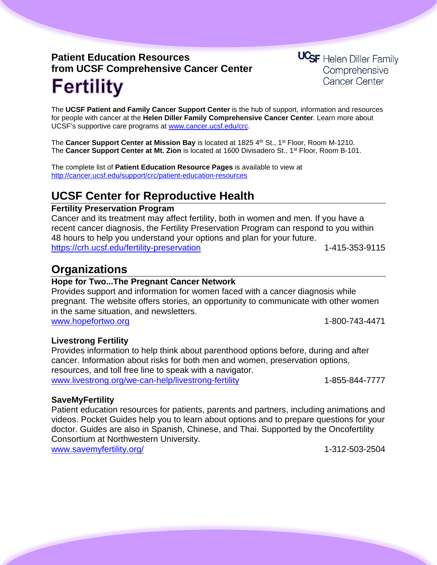# **Patient Education Resources from UCSF Comprehensive Cancer Center Fertility**

**UCSF** Helen Diller Family Comprehensive **Cancer Center** 

The **UCSF Patient and Family Cancer Support Center** is the hub of support, information and resources for people with cancer at the **Helen Diller Family Comprehensive Cancer Center**. Learn more about UCSF's supportive care programs at [www.cancer.ucsf.edu/crc.](http://www.cancer.ucsf.edu/crc)

The **Cancer Support Center at Mission Bay** is located at 1825 4th St., 1<sup>st</sup> Floor, Room M-1210. The **Cancer Support Center at Mt. Zion** is located at 1600 Divisadero St., 1st Floor, Room B-101.

The complete list of **Patient Education Resource Pages** is available to view at <http://cancer.ucsf.edu/support/crc/patient-education-resources>

## **UCSF Center for Reproductive Health**

#### **Fertility Preservation Program**

Cancer and its treatment may affect fertility, both in women and men. If you have a recent cancer diagnosis, the Fertility Preservation Program can respond to you within 48 hours to help you understand your options and plan for your future. <https://crh.ucsf.edu/fertility-preservation> 1-415-353-9115

### **Organizations**

### **Hope for Two...The Pregnant Cancer Network**

Provides support and information for women faced with a cancer diagnosis while pregnant. The website offers stories, an opportunity to communicate with other women in the same situation, and newsletters.

[www.hopefortwo.org](http://www.hopefortwo.org/) 1-800-743-4471

### **Livestrong Fertility**

Provides information to help think about parenthood options before, during and after cancer. Information about risks for both men and women, preservation options, resources, and toll free line to speak with a navigator. [www.livestrong.org/we-can-help/livestrong-fertility](http://www.livestrong.org/we-can-help/livestrong-fertility) 1-855-844-7777

### **SaveMyFertility**

Patient education resources for patients, parents and partners, including animations and videos. Pocket Guides help you to learn about options and to prepare questions for your doctor. Guides are also in Spanish, Chinese, and Thai. Supported by the Oncofertility Consortium at Northwestern University. www.savemyfertility.org/ 1-312-503-2504